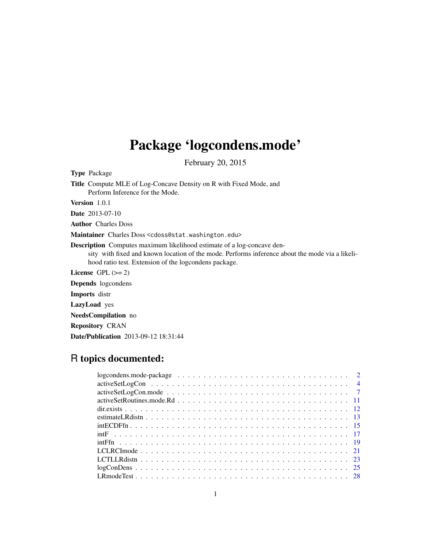# Package 'logcondens.mode'

February 20, 2015

<span id="page-0-0"></span>Type Package

Title Compute MLE of Log-Concave Density on R with Fixed Mode, and Perform Inference for the Mode.

Version 1.0.1

Date 2013-07-10

Author Charles Doss

Maintainer Charles Doss <cdoss@stat.washington.edu>

Description Computes maximum likelihood estimate of a log-concave density with fixed and known location of the mode. Performs inference about the mode via a likelihood ratio test. Extension of the logcondens package.

License GPL  $(>= 2)$ 

Depends logcondens

Imports distr

LazyLoad yes

NeedsCompilation no

Repository CRAN

Date/Publication 2013-09-12 18:31:44

# R topics documented: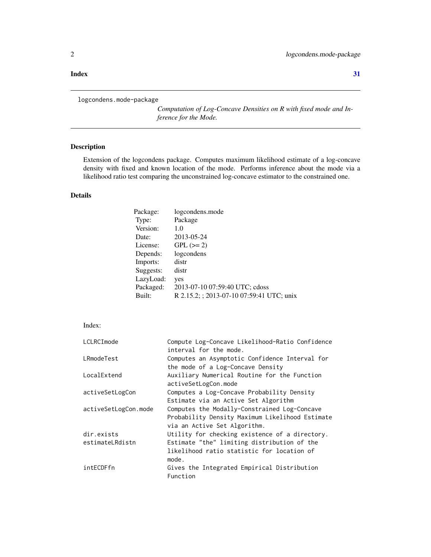#### <span id="page-1-0"></span>**Index** [31](#page-30-0)

```
logcondens.mode-package
```
*Computation of Log-Concave Densities on R with fixed mode and Inference for the Mode.*

# Description

Extension of the logcondens package. Computes maximum likelihood estimate of a log-concave density with fixed and known location of the mode. Performs inference about the mode via a likelihood ratio test comparing the unconstrained log-concave estimator to the constrained one.

# Details

| logcondens.mode                           |
|-------------------------------------------|
| Package                                   |
| 1.0                                       |
| 2013-05-24                                |
| $GPL (=2)$                                |
| logcondens                                |
| distr                                     |
| distr                                     |
| yes                                       |
| 2013-07-10 07:59:40 UTC; cdoss            |
| R 2.15.2; ; 2013-07-10 07:59:41 UTC; unix |
|                                           |

# Index:

| LCLRCImode           | Compute Log-Concave Likelihood-Ratio Confidence |
|----------------------|-------------------------------------------------|
|                      | interval for the mode.                          |
| LRmodeTest           | Computes an Asymptotic Confidence Interval for  |
|                      | the mode of a Log-Concave Density               |
| LocalExtend          | Auxiliary Numerical Routine for the Function    |
|                      | activeSetLogCon.mode                            |
| activeSetLogCon      | Computes a Log-Concave Probability Density      |
|                      | Estimate via an Active Set Algorithm            |
| activeSetLogCon.mode | Computes the Modally-Constrained Log-Concave    |
|                      | Probability Density Maximum Likelihood Estimate |
|                      | via an Active Set Algorithm.                    |
| dir.exists           | Utility for checking existence of a directory.  |
| estimateLRdistn      | Estimate "the" limiting distribution of the     |
|                      | likelihood ratio statistic for location of      |
|                      | mode.                                           |
| intECDFfn            | Gives the Integrated Empirical Distribution     |
|                      | Function                                        |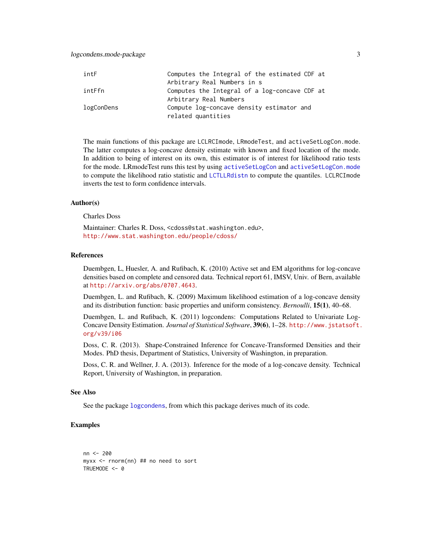<span id="page-2-0"></span>

| intF       | Computes the Integral of the estimated CDF at |
|------------|-----------------------------------------------|
|            | Arbitrary Real Numbers in s                   |
| intFfn     | Computes the Integral of a log-concave CDF at |
|            | Arbitrary Real Numbers                        |
| logConDens | Compute log-concave density estimator and     |
|            | related quantities                            |

The main functions of this package are LCLRCImode, LRmodeTest, and activeSetLogCon.mode. The latter computes a log-concave density estimate with known and fixed location of the mode. In addition to being of interest on its own, this estimator is of interest for likelihood ratio tests for the mode. LRmodeTest runs this test by using [activeSetLogCon](#page-3-1) and [activeSetLogCon.mode](#page-6-1) to compute the likelihood ratio statistic and [LCTLLRdistn](#page-22-1) to compute the quantiles. LCLRCImode inverts the test to form confidence intervals.

# Author(s)

# Charles Doss

Maintainer: Charles R. Doss, <cdoss@stat.washington.edu>, <http://www.stat.washington.edu/people/cdoss/>

# References

Duembgen, L, Huesler, A. and Rufibach, K. (2010) Active set and EM algorithms for log-concave densities based on complete and censored data. Technical report 61, IMSV, Univ. of Bern, available at <http://arxiv.org/abs/0707.4643>.

Duembgen, L. and Rufibach, K. (2009) Maximum likelihood estimation of a log-concave density and its distribution function: basic properties and uniform consistency. *Bernoulli*, 15(1), 40–68.

Duembgen, L. and Rufibach, K. (2011) logcondens: Computations Related to Univariate Log-Concave Density Estimation. *Journal of Statistical Software*, 39(6), 1–28. [http://www.jstatsoft.](http://www.jstatsoft.org/v39/i06) [org/v39/i06](http://www.jstatsoft.org/v39/i06)

Doss, C. R. (2013). Shape-Constrained Inference for Concave-Transformed Densities and their Modes. PhD thesis, Department of Statistics, University of Washington, in preparation.

Doss, C. R. and Wellner, J. A. (2013). Inference for the mode of a log-concave density. Technical Report, University of Washington, in preparation.

# See Also

See the package [logcondens](#page-0-0), from which this package derives much of its code.

```
nn <- 200
myxx <- rnorm(nn) ## no need to sort
TRUEMODE <- 0
```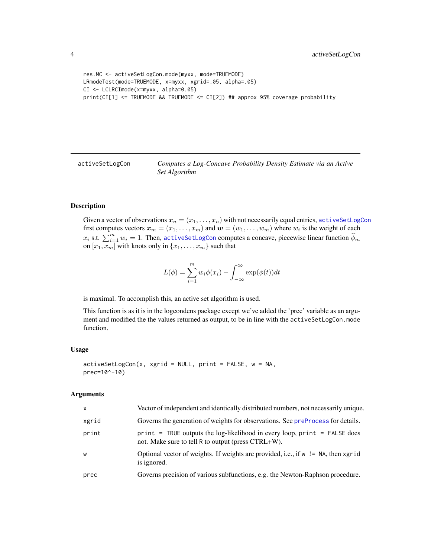```
res.MC <- activeSetLogCon.mode(myxx, mode=TRUEMODE)
LRmodeTest(mode=TRUEMODE, x=myxx, xgrid=.05, alpha=.05)
CI <- LCLRCImode(x=myxx, alpha=0.05)
print(CI[1] <= TRUEMODE && TRUEMODE <= CI[2]) ## approx 95% coverage probability
```
<span id="page-3-1"></span>activeSetLogCon *Computes a Log-Concave Probability Density Estimate via an Active Set Algorithm*

# **Description**

Given a vector of observations  $x_n = (x_1, \ldots, x_n)$  with not necessarily equal entries, [activeSetLogCon](#page-3-1) first computes vectors  $\boldsymbol{x}_m = (x_1, \dots, x_m)$  and  $\boldsymbol{w} = (w_1, \dots, w_m)$  where  $w_i$  is the weight of each  $x_i$  s.t.  $\sum_{i=1}^m w_i = 1$ . Then, [activeSetLogCon](#page-3-1) computes a concave, piecewise linear function  $\widehat{\phi}_m$ on  $[x_1, x_m]$  with knots only in  $\{x_1, \ldots, x_m\}$  such that

$$
L(\phi) = \sum_{i=1}^{m} w_i \phi(x_i) - \int_{-\infty}^{\infty} \exp(\phi(t)) dt
$$

is maximal. To accomplish this, an active set algorithm is used.

This function is as it is in the logcondens package except we've added the 'prec' variable as an argument and modified the the values returned as output, to be in line with the activeSetLogCon.mode function.

#### Usage

```
activeSetLogCon(x, xgrid = NULL, print = FALSE, w = NA,
prec=10^-10)
```
#### Arguments

| X     | Vector of independent and identically distributed numbers, not necessarily unique.                                                  |
|-------|-------------------------------------------------------------------------------------------------------------------------------------|
| xgrid | Governs the generation of weights for observations. See preProcess for details.                                                     |
| print | $print = TRUE$ outputs the log-likelihood in every loop, $print = FALSE$ does<br>not. Make sure to tell R to output (press CTRL+W). |
| W     | Optional vector of weights. If weights are provided, i.e., if $w := NA$ , then xgrid<br>is ignored.                                 |
| prec  | Governs precision of various subfunctions, e.g. the Newton-Raphson procedure.                                                       |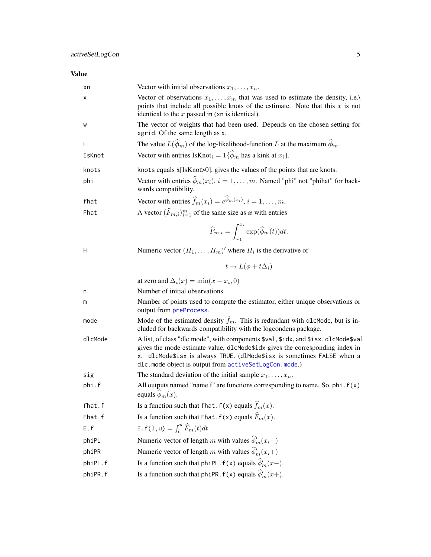# <span id="page-4-0"></span>Value

| xn      | Vector with initial observations $x_1, \ldots, x_n$ .                                                                                                                                                                                                                                                 |
|---------|-------------------------------------------------------------------------------------------------------------------------------------------------------------------------------------------------------------------------------------------------------------------------------------------------------|
| х       | Vector of observations $x_1, \ldots, x_m$ that was used to estimate the density, i.e.<br>points that include all possible knots of the estimate. Note that this $x$ is not<br>identical to the $x$ passed in (xn is identical).                                                                       |
| W       | The vector of weights that had been used. Depends on the chosen setting for<br>xgrid. Of the same length as x.                                                                                                                                                                                        |
| L       | The value $L(\hat{\phi}_m)$ of the log-likelihood-function L at the maximum $\hat{\phi}_m$ .                                                                                                                                                                                                          |
| IsKnot  | Vector with entries IsKnot <sub>i</sub> = $1\{\widehat{\phi}_m$ has a kink at $x_i$ .                                                                                                                                                                                                                 |
| knots   | knots equals x[IsKnot>0], gives the values of the points that are knots.                                                                                                                                                                                                                              |
| phi     | Vector with entries $\widehat{\phi}_m(x_i)$ , $i = 1, , m$ . Named "phi" not "phihat" for back-<br>wards compatibility.                                                                                                                                                                               |
| fhat    | Vector with entries $\hat{f}_m(x_i) = e^{\hat{\phi}_m(x_i)}$ , $i = 1, , m$ .                                                                                                                                                                                                                         |
| Fhat    | A vector $(\widehat{F}_{m,i})_{i=1}^m$ of the same size as x with entries                                                                                                                                                                                                                             |
|         | $\widehat{F}_{m,i} = \int_{x_i}^{x_i} \exp(\widehat{\phi}_m(t)) dt.$                                                                                                                                                                                                                                  |
| н       | Numeric vector $(H_1, \ldots, H_m)'$ where $H_i$ is the derivative of                                                                                                                                                                                                                                 |
|         | $t \to L(\phi + t\Delta_i)$                                                                                                                                                                                                                                                                           |
|         | at zero and $\Delta_i(x) = \min(x - x_i, 0)$                                                                                                                                                                                                                                                          |
| n       | Number of initial observations.                                                                                                                                                                                                                                                                       |
| m       | Number of points used to compute the estimator, either unique observations or<br>output from preProcess.                                                                                                                                                                                              |
| mode    | Mode of the estimated density $\hat{f}_m$ . This is redundant with dlcMode, but is in-<br>cluded for backwards compatibility with the logcondens package.                                                                                                                                             |
| dlcMode | A list, of class "dlc.mode", with components \$val, \$idx, and \$isx. dlcMode\$val<br>gives the mode estimate value, d1cMode\$idx gives the corresponding index in<br>x. dlcMode\$isx is always TRUE. (dlMode\$isx is sometimes FALSE when a<br>dlc.mode object is output from activeSetLogCon.mode.) |
| sig     | The standard deviation of the initial sample $x_1, \ldots, x_n$ .                                                                                                                                                                                                                                     |
| phi.f   | All outputs named "name.f" are functions corresponding to name. So, $phi$ . $f(x)$<br>equals $\phi_m(x)$ .                                                                                                                                                                                            |
| fhat.f  | Is a function such that fhat. $f(x)$ equals $\hat{f}_m(x)$ .                                                                                                                                                                                                                                          |
| Fhat.f  | Is a function such that Fhat. $f(x)$ equals $\widehat{F}_m(x)$ .                                                                                                                                                                                                                                      |
| E.f     | E. $f(1, u) = \int_{l}^{u} \hat{F}_{m}(t) dt$                                                                                                                                                                                                                                                         |
| phiPL   | Numeric vector of length m with values $\hat{\phi}'_m(x_i-)$                                                                                                                                                                                                                                          |
| phiPR   | Numeric vector of length m with values $\hat{\phi}'_m(x_i+)$                                                                                                                                                                                                                                          |
| phiPL.f | Is a function such that phiPL. $f(x)$ equals $\hat{\phi}'_m(x-)$ .                                                                                                                                                                                                                                    |
| phiPR.f | Is a function such that phiPR. $f(x)$ equals $\hat{\phi}'_m(x+)$ .                                                                                                                                                                                                                                    |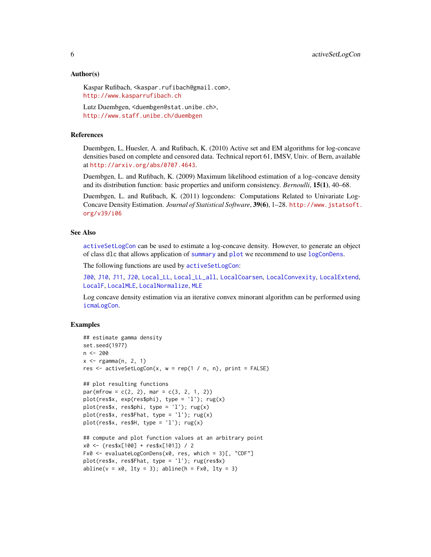# <span id="page-5-0"></span>Author(s)

Kaspar Rufibach, <kaspar.rufibach@gmail.com>, <http://www.kasparrufibach.ch>

Lutz Duembgen, <duembgen@stat.unibe.ch>, <http://www.staff.unibe.ch/duembgen>

# References

Duembgen, L, Huesler, A. and Rufibach, K. (2010) Active set and EM algorithms for log-concave densities based on complete and censored data. Technical report 61, IMSV, Univ. of Bern, available at <http://arxiv.org/abs/0707.4643>.

Duembgen, L. and Rufibach, K. (2009) Maximum likelihood estimation of a log–concave density and its distribution function: basic properties and uniform consistency. *Bernoulli*, 15(1), 40–68.

Duembgen, L. and Rufibach, K. (2011) logcondens: Computations Related to Univariate Log-Concave Density Estimation. *Journal of Statistical Software*, 39(6), 1–28. [http://www.jstatsoft.](http://www.jstatsoft.org/v39/i06) [org/v39/i06](http://www.jstatsoft.org/v39/i06)

#### See Also

[activeSetLogCon](#page-3-1) can be used to estimate a log-concave density. However, to generate an object of class dlc that allows application of [summary](#page-0-0) and [plot](#page-0-0) we recommend to use [logConDens](#page-24-1).

The following functions are used by [activeSetLogCon](#page-3-1):

[J00](#page-0-0), [J10](#page-0-0), [J11](#page-0-0), [J20](#page-0-0), [Local\\_LL](#page-0-0), [Local\\_LL\\_all](#page-0-0), [LocalCoarsen](#page-0-0), [LocalConvexity](#page-0-0), [LocalExtend](#page-10-1), [LocalF](#page-0-0), [LocalMLE](#page-0-0), [LocalNormalize](#page-0-0), [MLE](#page-0-0)

Log concave density estimation via an iterative convex minorant algorithm can be performed using [icmaLogCon](#page-0-0).

```
## estimate gamma density
set.seed(1977)
n < -200x <- rgamma(n, 2, 1)
res \le activeSetLogCon(x, w = rep(1 / n, n), print = FALSE)
## plot resulting functions
par(mfrow = c(2, 2), mar = c(3, 2, 1, 2))plot(res$x, exp(res$phi), type = 'l'); rug(x)
plot(res$x, res$phi, type = 'l'); rug(x)
plot(res$x, res$Fhat, type = 'l'); rug(x)
plot(res$x, res$H, type = 'l'); rug(x)## compute and plot function values at an arbitrary point
x0 <- (res$x[100] + res$x[101]) / 2
Fx0 <- evaluateLogConDens(x0, res, which = 3)[, "CDF"]
plot(res$x, res$Fhat, type = 'l'); rug(res$x)
abline(v = x0, 1ty = 3); abline(h = Fx0, 1ty = 3)
```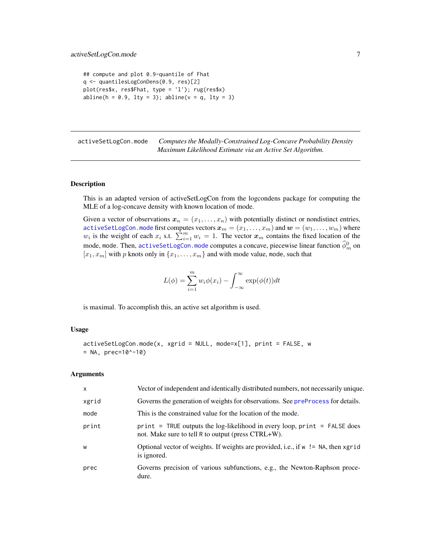```
## compute and plot 0.9-quantile of Fhat
q <- quantilesLogConDens(0.9, res)[2]
plot(res$x, res$Fhat, type = 'l'); rug(res$x)
abline(h = 0.9, lty = 3); abline(v = q, lty = 3)
```
<span id="page-6-1"></span>activeSetLogCon.mode *Computes the Modally-Constrained Log-Concave Probability Density Maximum Likelihood Estimate via an Active Set Algorithm.*

#### Description

This is an adapted version of activeSetLogCon from the logcondens package for computing the MLE of a log-concave density with known location of mode.

Given a vector of observations  $x_n = (x_1, \ldots, x_n)$  with potentially distinct or nondistinct entries, <code>[activeSetLogCon.mode](#page-6-1)</code> first computes vectors  $\boldsymbol{x}_m = (x_1, \dots, x_m)$  and  $\boldsymbol{w} = (w_1, \dots, w_m)$  where  $w_i$  is the weight of each  $x_i$  s.t.  $\sum_{i=1}^{m} w_i = 1$ . The vector  $x_m$  contains the fixed location of the mode, mode. Then, activeSetLogCon. mode computes a concave, piecewise linear function  $\widehat{\phi}_m^0$  on  $[x_1, x_m]$  with p knots only in  $\{x_1, \ldots, x_m\}$  and with mode value, mode, such that

$$
L(\phi) = \sum_{i=1}^{m} w_i \phi(x_i) - \int_{-\infty}^{\infty} \exp(\phi(t))dt
$$

is maximal. To accomplish this, an active set algorithm is used.

# Usage

activeSetLogCon.mode(x, xgrid = NULL, mode=x[1], print = FALSE, w  $=$  NA, prec=10^-10)

#### Arguments

| $\mathsf{x}$ | Vector of independent and identically distributed numbers, not necessarily unique.                                                  |
|--------------|-------------------------------------------------------------------------------------------------------------------------------------|
| xgrid        | Governs the generation of weights for observations. See preProcess for details.                                                     |
| mode         | This is the constrained value for the location of the mode.                                                                         |
| print        | $print = TRUE$ outputs the log-likelihood in every loop, $print = FALSE$ does<br>not. Make sure to tell R to output (press CTRL+W). |
| W            | Optional vector of weights. If weights are provided, i.e., if w != NA, then xgrid<br>is ignored.                                    |
| prec         | Governs precision of various subfunctions, e.g., the Newton-Raphson proce-<br>dure.                                                 |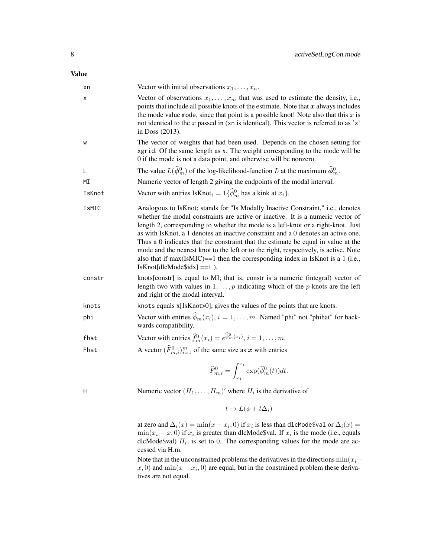| хn     | Vector with initial observations $x_1, \ldots, x_n$ .                                                                                                                                                                                                                                                                                                                                                                                                                                                                                                                                                                                           |
|--------|-------------------------------------------------------------------------------------------------------------------------------------------------------------------------------------------------------------------------------------------------------------------------------------------------------------------------------------------------------------------------------------------------------------------------------------------------------------------------------------------------------------------------------------------------------------------------------------------------------------------------------------------------|
| х      | Vector of observations $x_1, \ldots, x_m$ that was used to estimate the density, i.e.,<br>points that include all possible knots of the estimate. Note that $x$ always includes<br>the mode value mode, since that point is a possible knot! Note also that this $x$ is<br>not identical to the $x$ passed in (xn is identical). This vector is referred to as 'z'<br>in Doss $(2013)$ .                                                                                                                                                                                                                                                        |
| W      | The vector of weights that had been used. Depends on the chosen setting for<br>xgrid. Of the same length as x. The weight corresponding to the mode will be<br>0 if the mode is not a data point, and otherwise will be nonzero.                                                                                                                                                                                                                                                                                                                                                                                                                |
| L      | The value $L(\widehat{\phi}_m^0)$ of the log-likelihood-function L at the maximum $\widehat{\phi}_m^0$ .                                                                                                                                                                                                                                                                                                                                                                                                                                                                                                                                        |
| МI     | Numeric vector of length 2 giving the endpoints of the modal interval.                                                                                                                                                                                                                                                                                                                                                                                                                                                                                                                                                                          |
| IsKnot | Vector with entries IsKnot <sub>i</sub> = $1\{\widehat{\phi}_m^0$ has a kink at $x_i$ .                                                                                                                                                                                                                                                                                                                                                                                                                                                                                                                                                         |
| IsMIC  | Analogous to IsKnot; stands for "Is Modally Inactive Constraint," i.e., denotes<br>whether the modal constraints are active or inactive. It is a numeric vector of<br>length 2, corresponding to whether the mode is a left-knot or a right-knot. Just<br>as with IsKnot, a 1 denotes an inactive constraint and a 0 denotes an active one.<br>Thus a 0 indicates that the constraint that the estimate be equal in value at the<br>mode and the nearest knot to the left or to the right, respectively, is active. Note<br>also that if $max(IsMIC) == 1$ then the corresponding index in IsKnot is a 1 (i.e.,<br>$IsKnot[dlcMode$idx] == 1$ . |
| constr | knots[constr] is equal to MI; that is, constr is a numeric (integral) vector of<br>length two with values in $1, \ldots, p$ indicating which of the p knots are the left<br>and right of the modal interval.                                                                                                                                                                                                                                                                                                                                                                                                                                    |
| knots  | knots equals x[IsKnot>0], gives the values of the points that are knots.                                                                                                                                                                                                                                                                                                                                                                                                                                                                                                                                                                        |
| phi    | Vector with entries $\widehat{\phi}_m(x_i)$ , $i = 1, , m$ . Named "phi" not "phihat" for back-<br>wards compatibility.                                                                                                                                                                                                                                                                                                                                                                                                                                                                                                                         |
| fhat   | Vector with entries $\widehat{f}_m^0(x_i) = e^{\widehat{\phi}_m^0(x_i)}$ , $i = 1, , m$ .                                                                                                                                                                                                                                                                                                                                                                                                                                                                                                                                                       |
| Fhat   | A vector $(\widehat{F}_{m,i}^0)_{i=1}^m$ of the same size as x with entries                                                                                                                                                                                                                                                                                                                                                                                                                                                                                                                                                                     |
|        | $\widehat{F}_{m,i}^0 = \int_{-\infty}^{x_i} \exp(\widehat{\phi}_m^0(t))dt.$                                                                                                                                                                                                                                                                                                                                                                                                                                                                                                                                                                     |
| Н      | Numeric vector $(H_1, \ldots, H_m)'$ where $H_i$ is the derivative of                                                                                                                                                                                                                                                                                                                                                                                                                                                                                                                                                                           |

 $t \to L(\phi + t\Delta_i)$ 

at zero and  $\Delta_i(x) = \min(x - x_i, 0)$  if  $x_i$  is less than dlcMode\$val or  $\Delta_i(x) =$  $min(x_i - x, 0)$  if  $x_i$  is greater than dlcMode\$val. If  $x_i$  is the mode (i.e., equals dlcMode\$val)  $H_i$ , is set to 0. The corresponding values for the mode are accessed via H.m.

Note that in the unconstrained problems the derivatives in the directions  $\min(x_i (x, 0)$  and  $\min(x - x_i, 0)$  are equal, but in the constrained problem these derivatives are not equal.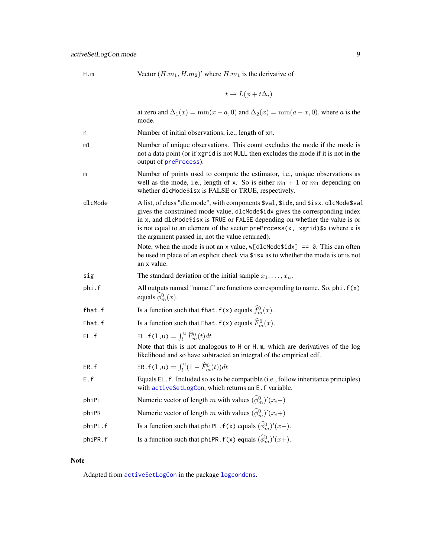<span id="page-8-0"></span>H.m Vector  $(H.m_1, H.m_2)'$  where  $H.m_1$  is the derivative of

$$
t \to L(\phi + t\Delta_i)
$$

at zero and  $\Delta_1(x) = \min(x - a, 0)$  and  $\Delta_2(x) = \min(a - x, 0)$ , where a is the mode. n Number of initial observations, i.e., length of xn. m1 Number of unique observations. This count excludes the mode if the mode is not a data point (or if xgrid is not NULL then excludes the mode if it is not in the output of [preProcess](#page-0-0)). m Number of points used to compute the estimator, i.e., unique observations as well as the mode, i.e., length of x. So is either  $m_1 + 1$  or  $m_1$  depending on whether dlcMode\$isx is FALSE or TRUE, respectively. dlcMode A list, of class "dlc.mode", with components \$val, \$idx, and \$isx. dlcMode\$val gives the constrained mode value, dlcMode\$idx gives the corresponding index in x, and dlcMode\$isx is TRUE or FALSE depending on whether the value is or is not equal to an element of the vector preProcess $(x, x^2)$  x (where x is the argument passed in, not the value returned). Note, when the mode is not an x value,  $w[dlc$ Mode $$idx] == 0$ . This can often be used in place of an explicit check via \$isx as to whether the mode is or is not an x value. sig The standard deviation of the initial sample  $x_1, \ldots, x_n$ . phi.f All outputs named "name.f" are functions corresponding to name. So, phi.f(x) equals  $\widehat{\phi}_m^0(x)$ . fhat.f Is a function such that fhat.f(x) equals  $\hat{f}_m^0(x)$ . Fhat.f Is a function such that Fhat.f(x) equals  $\widehat{F}_m^0(x)$ . EL.f(1,u) =  $\int_l^u \widehat{F}_m^0(t)dt$ Note that this is not analogous to H or H.m, which are derivatives of the log likelihood and so have subtracted an integral of the empirical cdf. ER.f(1,u) =  $\int_{l}^{u} (1 - \widehat{F}_{m}^{0}(t)) dt$ E.f Equals EL.f. Included so as to be compatible (i.e., follow inheritance principles) with [activeSetLogCon](#page-3-1), which returns an E.f variable. phiPL Numeric vector of length m with values  $(\hat{\phi}_m^0)'(x_i-)$ phiPR Numeric vector of length m with values  $(\hat{\phi}_m^0)'(x_i+)$ phiPL.f Is a function such that phiPL.f(x) equals  $(\hat{\phi}_m^0)'(x-)$ . phiPR.f Is a function such that phiPR.f(x) equals  $(\hat{\phi}_m^0)'(x+)$ .

#### Note

Adapted from [activeSetLogCon](#page-3-1) in the package [logcondens](#page-0-0).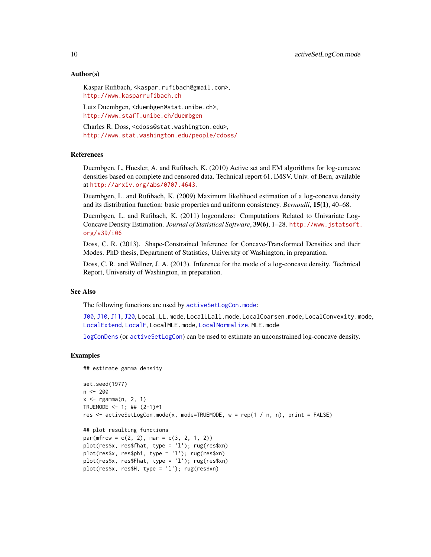# Author(s)

Kaspar Rufibach, <kaspar.rufibach@gmail.com>, <http://www.kasparrufibach.ch>

Lutz Duembgen, <duembgen@stat.unibe.ch>, <http://www.staff.unibe.ch/duembgen>

Charles R. Doss, <cdoss@stat.washington.edu>, <http://www.stat.washington.edu/people/cdoss/>

# References

Duembgen, L, Huesler, A. and Rufibach, K. (2010) Active set and EM algorithms for log-concave densities based on complete and censored data. Technical report 61, IMSV, Univ. of Bern, available at <http://arxiv.org/abs/0707.4643>.

Duembgen, L. and Rufibach, K. (2009) Maximum likelihood estimation of a log-concave density and its distribution function: basic properties and uniform consistency. *Bernoulli*, 15(1), 40–68.

Duembgen, L. and Rufibach, K. (2011) logcondens: Computations Related to Univariate Log-Concave Density Estimation. *Journal of Statistical Software*, 39(6), 1–28. [http://www.jstatsoft.](http://www.jstatsoft.org/v39/i06) [org/v39/i06](http://www.jstatsoft.org/v39/i06)

Doss, C. R. (2013). Shape-Constrained Inference for Concave-Transformed Densities and their Modes. PhD thesis, Department of Statistics, University of Washington, in preparation.

Doss, C. R. and Wellner, J. A. (2013). Inference for the mode of a log-concave density. Technical Report, University of Washington, in preparation.

#### See Also

The following functions are used by [activeSetLogCon.mode](#page-6-1):

[J00](#page-0-0), [J10](#page-0-0), [J11](#page-0-0), [J20](#page-0-0), Local\_LL.mode, LocalLLall.mode, LocalCoarsen.mode, LocalConvexity.mode, [LocalExtend](#page-10-1), [LocalF](#page-0-0), LocalMLE.mode, [LocalNormalize](#page-0-0), MLE.mode

[logConDens](#page-24-1) (or [activeSetLogCon](#page-3-1)) can be used to estimate an unconstrained log-concave density.

```
## estimate gamma density
```

```
set.seed(1977)
n < -200x \leq - \text{rgamma}(n, 2, 1)TRUEMODE <- 1; ## (2-1)*1res <- activeSetLogCon.mode(x, mode=TRUEMODE, w = rep(1 / n, n), print = FALSE)
## plot resulting functions
par(mfrow = c(2, 2), mar = c(3, 2, 1, 2))plot(res$x, res$fhat, type = 'l'); rug(res$xn)
plot(res$x, res$phi, type = 'l'); rug(res$xn)
plot(res$x, res$Fhat, type = 'l'); rug(res$xn)
plot(res$x, res$H, type = 'l'); rug(res$xn)
```
<span id="page-9-0"></span>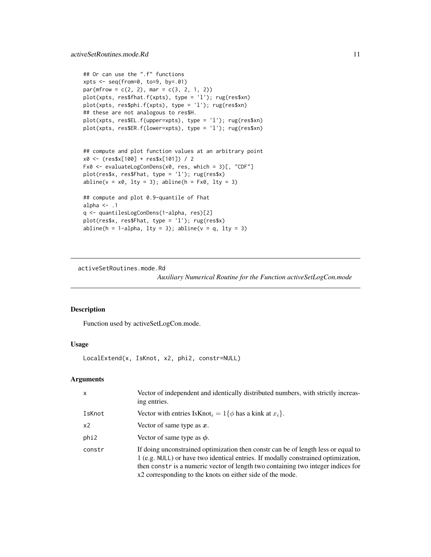```
## Or can use the ".f" functions
xpts \leftarrow seq(from=0, to=9, by=.01)par(mfrow = c(2, 2), mar = c(3, 2, 1, 2))plot(xpts, res$fhat.f(xpts), type = 'l'); rug(res$xn)
plot(xpts, res$phi.f(xpts), type = 'l'); rug(res$xn)
## these are not analogous to res$H.
plot(xpts, res$EL.f(upper=xpts), type = 'l'); rug(res$xn)
plot(xpts, res$ER.f(lower=xpts), type = 'l'); rug(res$xn)
## compute and plot function values at an arbitrary point
x0 <- (res$x[100] + res$x[101]) / 2
Fx0 <- evaluateLogConDens(x0, res, which = 3)[, "CDF"]
plot(res$x, res$Fhat, type = 'l'); rug(res$x)
abline(v = x0, 1ty = 3); abline(h = Fx0, 1ty = 3)## compute and plot 0.9-quantile of Fhat
alpha \leq -1q <- quantilesLogConDens(1-alpha, res)[2]
plot(res$x, res$Fhat, type = 'l'); rug(res$x)
abline(h = 1-alpha, lty = 3); abline(v = q, lty = 3)
```
activeSetRoutines.mode.Rd

*Auxiliary Numerical Routine for the Function activeSetLogCon.mode*

# <span id="page-10-1"></span>Description

Function used by activeSetLogCon.mode.

# Usage

LocalExtend(x, IsKnot, x2, phi2, constr=NULL)

# Arguments

| $\mathsf{x}$ | Vector of independent and identically distributed numbers, with strictly increas-<br>ing entries.                                                                                                                                                                                                                       |
|--------------|-------------------------------------------------------------------------------------------------------------------------------------------------------------------------------------------------------------------------------------------------------------------------------------------------------------------------|
| IsKnot       | Vector with entries IsKnot <sub>i</sub> = $1\{\phi$ has a kink at $x_i\}$ .                                                                                                                                                                                                                                             |
| x2           | Vector of same type as $x$ .                                                                                                                                                                                                                                                                                            |
| phi2         | Vector of same type as $\phi$ .                                                                                                                                                                                                                                                                                         |
| constr       | If doing unconstrained optimization then constr can be of length less or equal to<br>1 (e.g. NULL) or have two identical entries. If modally constrained optimization,<br>then constr is a numeric vector of length two containing two integer indices for<br>x2 corresponding to the knots on either side of the mode. |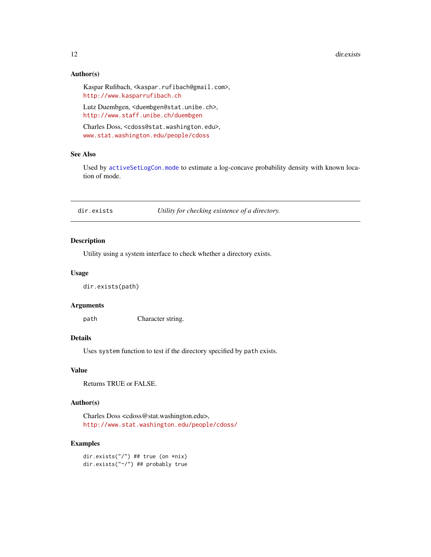#### 12 dir.exists

# Author(s)

Kaspar Rufibach, <kaspar.rufibach@gmail.com>, <http://www.kasparrufibach.ch>

Lutz Duembgen, <duembgen@stat.unibe.ch>, <http://www.staff.unibe.ch/duembgen>

Charles Doss, <cdoss@stat.washington.edu>, <www.stat.washington.edu/people/cdoss>

# See Also

Used by [activeSetLogCon.mode](#page-6-1) to estimate a log-concave probability density with known location of mode.

dir.exists *Utility for checking existence of a directory.*

# Description

Utility using a system interface to check whether a directory exists.

#### Usage

dir.exists(path)

# Arguments

path Character string.

#### Details

Uses system function to test if the directory specified by path exists.

# Value

Returns TRUE or FALSE.

# Author(s)

Charles Doss <cdoss@stat.washington.edu>, <http://www.stat.washington.edu/people/cdoss/>

#### Examples

dir.exists("/") ## true (on \*nix) dir.exists("~/") ## probably true

<span id="page-11-0"></span>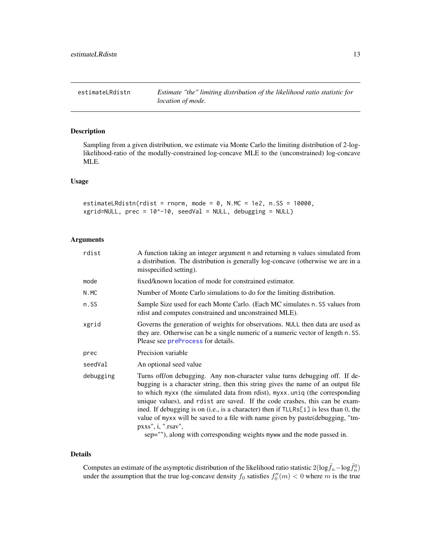# <span id="page-12-0"></span>Description

Sampling from a given distribution, we estimate via Monte Carlo the limiting distribution of 2-loglikelihood-ratio of the modally-constrained log-concave MLE to the (unconstrained) log-concave MLE.

#### Usage

```
estimateLRdistn(rdist = rnorm, mode = 0, N.MC = 1e2, n.SS = 10000,
xgrid=NULL, prec = 10^-10, seedVal = NULL, debugging = NULL)
```
# Arguments

| A function taking an integer argument n and returning n values simulated from<br>a distribution. The distribution is generally log-concave (otherwise we are in a<br>misspecified setting).                                                                                                                                                                                                                                                                                                                                                                                                             |
|---------------------------------------------------------------------------------------------------------------------------------------------------------------------------------------------------------------------------------------------------------------------------------------------------------------------------------------------------------------------------------------------------------------------------------------------------------------------------------------------------------------------------------------------------------------------------------------------------------|
| fixed/known location of mode for constrained estimator.                                                                                                                                                                                                                                                                                                                                                                                                                                                                                                                                                 |
| Number of Monte Carlo simulations to do for the limiting distribution.                                                                                                                                                                                                                                                                                                                                                                                                                                                                                                                                  |
| Sample Size used for each Monte Carlo. (Each MC simulates n. SS values from<br>rdist and computes constrained and unconstrained MLE).                                                                                                                                                                                                                                                                                                                                                                                                                                                                   |
| Governs the generation of weights for observations. NULL then data are used as<br>they are. Otherwise can be a single numeric of a numeric vector of length n. SS.<br>Please see preProcess for details.                                                                                                                                                                                                                                                                                                                                                                                                |
| Precision variable                                                                                                                                                                                                                                                                                                                                                                                                                                                                                                                                                                                      |
| An optional seed value                                                                                                                                                                                                                                                                                                                                                                                                                                                                                                                                                                                  |
| Turns off/on debugging. Any non-character value turns debugging off. If de-<br>bugging is a character string, then this string gives the name of an output file<br>to which myxx (the simulated data from rdist), myxx.uniq (the corresponding<br>unique values), and rdist are saved. If the code crashes, this can be exam-<br>ined. If debugging is on (i.e., is a character) then if TLLRs[i] is less than 0, the<br>value of myxx will be saved to a file with name given by paste (debugging, "tm-<br>pxxs", i, "rsav",<br>sep=""), along with corresponding weights myww and the mode passed in. |
|                                                                                                                                                                                                                                                                                                                                                                                                                                                                                                                                                                                                         |

#### Details

Computes an estimate of the asymptotic distribution of the likelihood ratio statistic 2(log $\hat{f}_n - \log \hat{f}_n^0$ ) under the assumption that the true log-concave density  $f_0$  satisfies  $f_0''(m) < 0$  where m is the true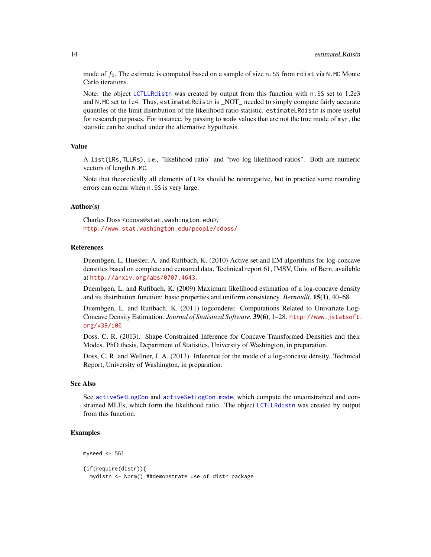mode of  $f_0$ . The estimate is computed based on a sample of size n. SS from rdist via N.MC Monte Carlo iterations.

Note: the object [LCTLLRdistn](#page-22-1) was created by output from this function with n.SS set to 1.2e3 and N.MC set to 1e4. Thus, estimateLRdistn is NOT needed to simply compute fairly accurate quantiles of the limit distribution of the likelihood ratio statistic. estimateLRdistn is more useful for research purposes. For instance, by passing to mode values that are not the true mode of myr, the statistic can be studied under the alternative hypothesis.

# Value

A list(LRs,TLLRs), i.e., "likelihood ratio" and "two log likelihood ratios". Both are numeric vectors of length N.MC.

Note that theoretically all elements of LRs should be nonnegative, but in practice some rounding errors can occur when n.SS is very large.

# Author(s)

Charles Doss <cdoss@stat.washington.edu>, <http://www.stat.washington.edu/people/cdoss/>

# References

Duembgen, L, Huesler, A. and Rufibach, K. (2010) Active set and EM algorithms for log-concave densities based on complete and censored data. Technical report 61, IMSV, Univ. of Bern, available at <http://arxiv.org/abs/0707.4643>.

Duembgen, L. and Rufibach, K. (2009) Maximum likelihood estimation of a log-concave density and its distribution function: basic properties and uniform consistency. *Bernoulli*, 15(1), 40–68.

Duembgen, L. and Rufibach, K. (2011) logcondens: Computations Related to Univariate Log-Concave Density Estimation. *Journal of Statistical Software*, 39(6), 1–28. [http://www.jstatsoft.](http://www.jstatsoft.org/v39/i06) [org/v39/i06](http://www.jstatsoft.org/v39/i06)

Doss, C. R. (2013). Shape-Constrained Inference for Concave-Transformed Densities and their Modes. PhD thesis, Department of Statistics, University of Washington, in preparation.

Doss, C. R. and Wellner, J. A. (2013). Inference for the mode of a log-concave density. Technical Report, University of Washington, in preparation.

#### See Also

See [activeSetLogCon](#page-3-1) and [activeSetLogCon.mode](#page-6-1), which compute the unconstrained and constrained MLEs, which form the likelihood ratio. The object [LCTLLRdistn](#page-22-1) was created by output from this function.

```
myseed \leq 561
{if(require(distr)){
 mydistn <- Norm() ##demonstrate use of distr package
```
<span id="page-13-0"></span>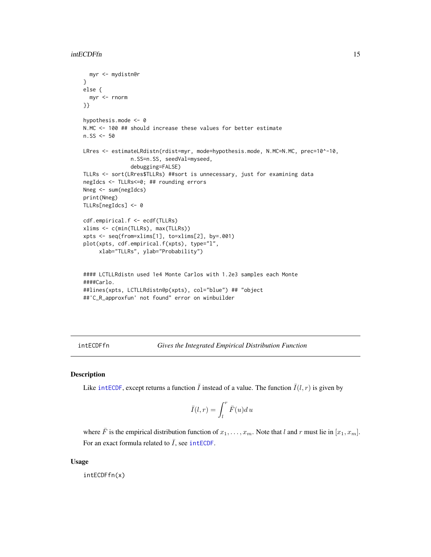```
myr <- mydistn@r
}
else {
 myr <- rnorm
}}
hypothesis.mode <- 0
N.MC <- 100 ## should increase these values for better estimate
n.SS < -50LRres <- estimateLRdistn(rdist=myr, mode=hypothesis.mode, N.MC=N.MC, prec=10^-10,
               n.SS=n.SS, seedVal=myseed,
               debugging=FALSE)
TLLRs <- sort(LRres$TLLRs) ##sort is unnecessary, just for examining data
negIdcs <- TLLRs<=0; ## rounding errors
Nneg <- sum(negIdcs)
print(Nneg)
TLLRs[negIdcs] <- 0
cdf.empirical.f <- ecdf(TLLRs)
xlims <- c(min(TLLRs), max(TLLRs))
xpts <- seq(from=xlims[1], to=xlims[2], by=.001)
plot(xpts, cdf.empirical.f(xpts), type="l",
     xlab="TLLRs", ylab="Probability")
#### LCTLLRdistn used 1e4 Monte Carlos with 1.2e3 samples each Monte
####Carlo.
##lines(xpts, LCTLLRdistn@p(xpts), col="blue") ## "object
##'C_R_approxfun' not found" error on winbuilder
```
<span id="page-14-1"></span>intECDFfn *Gives the Integrated Empirical Distribution Function*

#### Description

Like [intECDF](#page-0-0), except returns a function  $\bar{I}$  instead of a value. The function  $\bar{I}(l, r)$  is given by

$$
\bar{I}(l,r) = \int_l^r \bar{F}(u) du
$$

where  $\overline{F}$  is the empirical distribution function of  $x_1, \ldots, x_m$ . Note that l and r must lie in  $[x_1, x_m]$ . For an exact formula related to  $\overline{I}$ , see [intECDF](#page-0-0).

#### Usage

intECDFfn(x)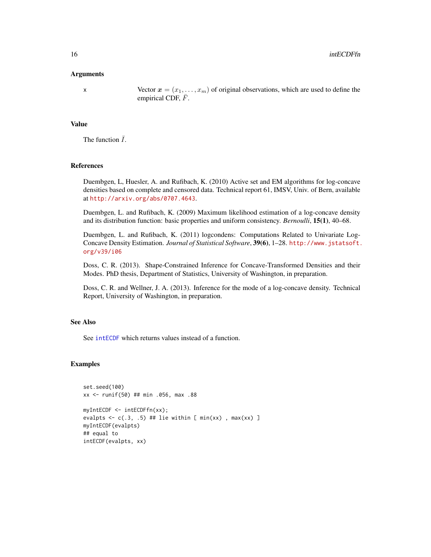# <span id="page-15-0"></span>Arguments

x Vector  $x = (x_1, \ldots, x_m)$  of original observations, which are used to define the empirical CDF,  $\bar{F}$ .

# Value

The function  $\overline{I}$ .

# References

Duembgen, L, Huesler, A. and Rufibach, K. (2010) Active set and EM algorithms for log-concave densities based on complete and censored data. Technical report 61, IMSV, Univ. of Bern, available at <http://arxiv.org/abs/0707.4643>.

Duembgen, L. and Rufibach, K. (2009) Maximum likelihood estimation of a log-concave density and its distribution function: basic properties and uniform consistency. *Bernoulli*, 15(1), 40–68.

Duembgen, L. and Rufibach, K. (2011) logcondens: Computations Related to Univariate Log-Concave Density Estimation. *Journal of Statistical Software*, 39(6), 1–28. [http://www.jstatsoft.](http://www.jstatsoft.org/v39/i06) [org/v39/i06](http://www.jstatsoft.org/v39/i06)

Doss, C. R. (2013). Shape-Constrained Inference for Concave-Transformed Densities and their Modes. PhD thesis, Department of Statistics, University of Washington, in preparation.

Doss, C. R. and Wellner, J. A. (2013). Inference for the mode of a log-concave density. Technical Report, University of Washington, in preparation.

# See Also

See [intECDF](#page-0-0) which returns values instead of a function.

```
set.seed(100)
xx <- runif(50) ## min .056, max .88
myIntECDF <- intECDFfn(xx);
evalpts \leq c(.3, .5) ## lie within [ min(xx), max(xx) ]
myIntECDF(evalpts)
## equal to
intECDF(evalpts, xx)
```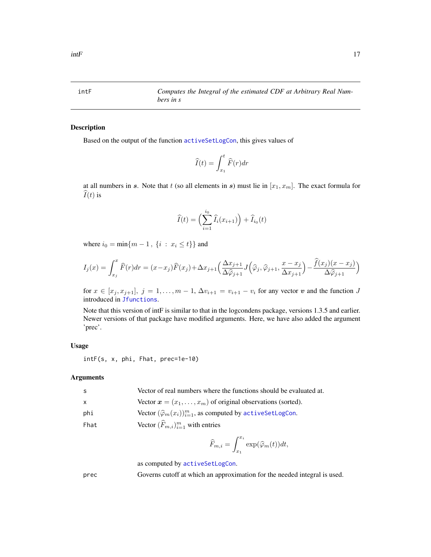<span id="page-16-1"></span><span id="page-16-0"></span>

# Description

Based on the output of the function [activeSetLogCon](#page-3-1), this gives values of

$$
\widehat{I}(t) = \int_{x_1}^t \widehat{F}(r) dr
$$

at all numbers in s. Note that t (so all elements in s) must lie in  $[x_1, x_m]$ . The exact formula for  $\widehat{I}(t)$  is

$$
\widehat{I}(t) = \left(\sum_{i=1}^{i_0} \widehat{I}_i(x_{i+1})\right) + \widehat{I}_{i_0}(t)
$$

where  $i_0 = \min\{m - 1, \{i : x_i \le t\}\}\$ and

$$
I_j(x) = \int_{x_j}^x \widehat{F}(r) dr = (x - x_j)\widehat{F}(x_j) + \Delta x_{j+1} \left(\frac{\Delta x_{j+1}}{\Delta \widehat{\varphi}_{j+1}} J\left(\widehat{\varphi}_j, \widehat{\varphi}_{j+1}, \frac{x - x_j}{\Delta x_{j+1}}\right) - \frac{\widehat{f}(x_j)(x - x_j)}{\Delta \widehat{\varphi}_{j+1}}\right)
$$

for  $x \in [x_j, x_{j+1}], j = 1, \ldots, m-1, \Delta v_{i+1} = v_{i+1} - v_i$  for any vector v and the function J introduced in [Jfunctions](#page-0-0).

Note that this version of intF is similar to that in the logcondens package, versions 1.3.5 and earlier. Newer versions of that package have modified arguments. Here, we have also added the argument 'prec'.

# Usage

intF(s, x, phi, Fhat, prec=1e-10)

# Arguments

| - S          | Vector of real numbers where the functions should be evaluated at.            |
|--------------|-------------------------------------------------------------------------------|
| $\mathsf{X}$ | Vector $\mathbf{x} = (x_1, \dots, x_m)$ of original observations (sorted).    |
| phi          | Vector $(\widehat{\varphi}_m(x_i))_{i=1}^m$ , as computed by activeSetLogCon. |
| Fhat         | Vector $(F_{m,i})_{i=1}^m$ with entries                                       |

$$
\widehat{F}_{m,i} = \int_{x_1}^{x_i} \exp(\widehat{\varphi}_m(t))dt,
$$

as computed by [activeSetLogCon](#page-3-1).

prec Governs cutoff at which an approximation for the needed integral is used.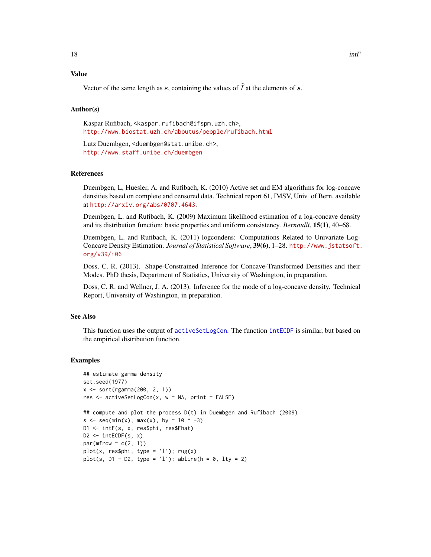# <span id="page-17-0"></span>Value

Vector of the same length as s, containing the values of  $\hat{I}$  at the elements of s.

#### Author(s)

Kaspar Rufibach, <kaspar.rufibach@ifspm.uzh.ch>, <http://www.biostat.uzh.ch/aboutus/people/rufibach.html>

Lutz Duembgen, <duembgen@stat.unibe.ch>, <http://www.staff.unibe.ch/duembgen>

#### References

Duembgen, L, Huesler, A. and Rufibach, K. (2010) Active set and EM algorithms for log-concave densities based on complete and censored data. Technical report 61, IMSV, Univ. of Bern, available at <http://arxiv.org/abs/0707.4643>.

Duembgen, L. and Rufibach, K. (2009) Maximum likelihood estimation of a log-concave density and its distribution function: basic properties and uniform consistency. *Bernoulli*, 15(1), 40–68.

Duembgen, L. and Rufibach, K. (2011) logcondens: Computations Related to Univariate Log-Concave Density Estimation. *Journal of Statistical Software*, 39(6), 1–28. [http://www.jstatsoft.](http://www.jstatsoft.org/v39/i06) [org/v39/i06](http://www.jstatsoft.org/v39/i06)

Doss, C. R. (2013). Shape-Constrained Inference for Concave-Transformed Densities and their Modes. PhD thesis, Department of Statistics, University of Washington, in preparation.

Doss, C. R. and Wellner, J. A. (2013). Inference for the mode of a log-concave density. Technical Report, University of Washington, in preparation.

# See Also

This function uses the output of [activeSetLogCon](#page-3-1). The function [intECDF](#page-0-0) is similar, but based on the empirical distribution function.

```
## estimate gamma density
set.seed(1977)
x <- sort(rgamma(200, 2, 1))
res <- activeSetLogCon(x, w = NA, print = FALSE)
## compute and plot the process D(t) in Duembgen and Rufibach (2009)
s <- seq(min(x), max(x), by = 10 ^ -3)
D1 <- intF(s, x, res$phi, res$Fhat)
D2 \le - intECDF(s, x)
par(mfrow = c(2, 1))plot(x, res$phi1, type = 'l'); rug(x)plot(s, D1 - D2, type = 'l'); abline(h = 0, lty = 2)
```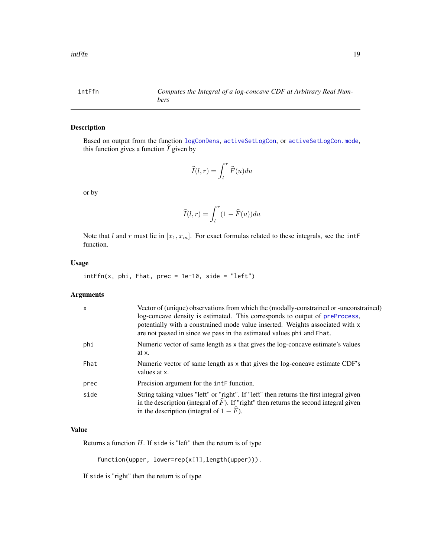<span id="page-18-0"></span>

# Description

Based on output from the function [logConDens](#page-24-1), [activeSetLogCon](#page-3-1), or [activeSetLogCon.mode](#page-6-1), this function gives a function  $\widehat{I}$  given by

$$
\widehat{I}(l,r)=\int_l^r \widehat{F}(u)du
$$

or by

$$
\widehat{I}(l,r) = \int_l^r (1 - \widehat{F}(u)) du
$$

Note that l and r must lie in  $[x_1, x_m]$ . For exact formulas related to these integrals, see the intF function.

# Usage

 $intFfn(x, phi, Fhat, prec = 1e-10, side = "left")$ 

# Arguments

| X    | Vector of (unique) observations from which the (modally-constrained or -unconstrained)<br>log-concave density is estimated. This corresponds to output of preProcess,<br>potentially with a constrained mode value inserted. Weights associated with x<br>are not passed in since we pass in the estimated values phi and Fhat. |
|------|---------------------------------------------------------------------------------------------------------------------------------------------------------------------------------------------------------------------------------------------------------------------------------------------------------------------------------|
| phi  | Numeric vector of same length as x that gives the log-concave estimate's values<br>at x.                                                                                                                                                                                                                                        |
| Fhat | Numeric vector of same length as x that gives the log-concave estimate CDF's<br>values at x.                                                                                                                                                                                                                                    |
| prec | Precision argument for the $intF$ function.                                                                                                                                                                                                                                                                                     |
| side | String taking values "left" or "right". If "left" then returns the first integral given<br>in the description (integral of $F$ ). If "right" then returns the second integral given<br>in the description (integral of $1 - F$ ).                                                                                               |

# Value

Returns a function  $H$ . If side is "left" then the return is of type

function(upper, lower=rep(x[1],length(upper))).

If side is "right" then the return is of type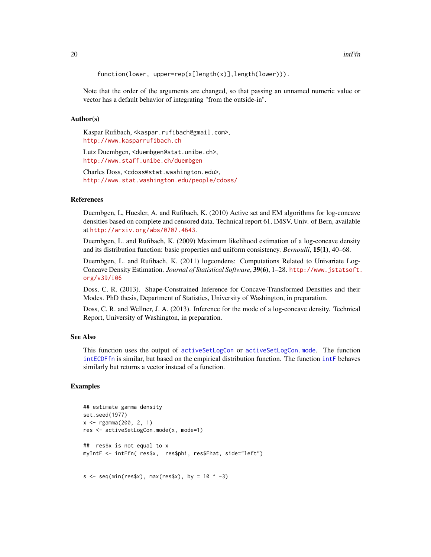```
function(lower, upper=rep(x[length(x)],length(lower))).
```
Note that the order of the arguments are changed, so that passing an unnamed numeric value or vector has a default behavior of integrating "from the outside-in".

# Author(s)

Kaspar Rufibach, <kaspar.rufibach@gmail.com>, <http://www.kasparrufibach.ch>

Lutz Duembgen, <duembgen@stat.unibe.ch>, <http://www.staff.unibe.ch/duembgen>

Charles Doss, <cdoss@stat.washington.edu>, <http://www.stat.washington.edu/people/cdoss/>

# References

Duembgen, L, Huesler, A. and Rufibach, K. (2010) Active set and EM algorithms for log-concave densities based on complete and censored data. Technical report 61, IMSV, Univ. of Bern, available at <http://arxiv.org/abs/0707.4643>.

Duembgen, L. and Rufibach, K. (2009) Maximum likelihood estimation of a log-concave density and its distribution function: basic properties and uniform consistency. *Bernoulli*, 15(1), 40–68.

Duembgen, L. and Rufibach, K. (2011) logcondens: Computations Related to Univariate Log-Concave Density Estimation. *Journal of Statistical Software*, 39(6), 1–28. [http://www.jstatsoft.](http://www.jstatsoft.org/v39/i06) [org/v39/i06](http://www.jstatsoft.org/v39/i06)

Doss, C. R. (2013). Shape-Constrained Inference for Concave-Transformed Densities and their Modes. PhD thesis, Department of Statistics, University of Washington, in preparation.

Doss, C. R. and Wellner, J. A. (2013). Inference for the mode of a log-concave density. Technical Report, University of Washington, in preparation.

# See Also

This function uses the output of [activeSetLogCon](#page-3-1) or [activeSetLogCon.mode](#page-6-1). The function [intECDFfn](#page-14-1) is similar, but based on the empirical distribution function. The function [intF](#page-16-1) behaves similarly but returns a vector instead of a function.

```
## estimate gamma density
set.seed(1977)
x \leq - rgamma(200, 2, 1)res <- activeSetLogCon.mode(x, mode=1)
## res$x is not equal to x
myIntF <- intFfn( res$x, res$phi, res$Fhat, side="left")
s \leq -\text{seq}(\text{min}(\text{res} x), \text{max}(\text{res} x), \text{ by } = 10 \cdot -3)
```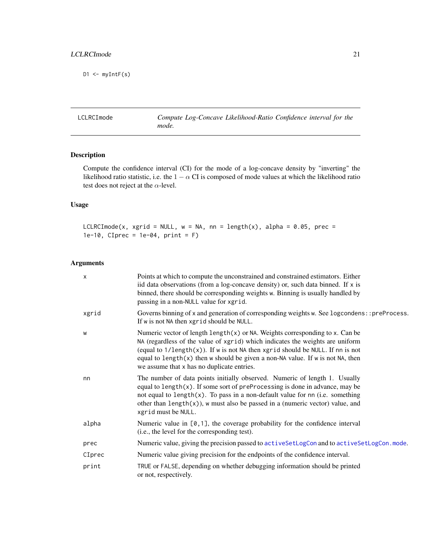<span id="page-20-0"></span> $D1 \leq -myIntF(s)$ 

<span id="page-20-1"></span>LCLRCImode *Compute Log-Concave Likelihood-Ratio Confidence interval for the mode.*

# Description

Compute the confidence interval (CI) for the mode of a log-concave density by "inverting" the likelihood ratio statistic, i.e. the  $1 - \alpha$  CI is composed of mode values at which the likelihood ratio test does not reject at the  $\alpha$ -level.

# Usage

LCLRCImode(x, xgrid = NULL,  $w = NA$ , nn = length(x), alpha = 0.05, prec =  $1e-10$ , CIprec =  $1e-04$ , print = F)

# Arguments

| $\boldsymbol{\mathsf{x}}$ | Points at which to compute the unconstrained and constrained estimators. Either<br>iid data observations (from a log-concave density) or, such data binned. If $x$ is<br>binned, there should be corresponding weights w. Binning is usually handled by<br>passing in a non-NULL value for xgrid.                                                                                                     |
|---------------------------|-------------------------------------------------------------------------------------------------------------------------------------------------------------------------------------------------------------------------------------------------------------------------------------------------------------------------------------------------------------------------------------------------------|
| xgrid                     | Governs binning of x and generation of corresponding weights w. See logcondens:: preProcess.<br>If w is not NA then xgrid should be NULL.                                                                                                                                                                                                                                                             |
| W                         | Numeric vector of length $\text{length}(x)$ or NA. Weights corresponding to x. Can be<br>NA (regardless of the value of xgrid) which indicates the weights are uniform<br>(equal to $1/\text{length}(x)$ ). If w is not NA then xgrid should be NULL. If nn is not<br>equal to length $(x)$ then w should be given a non-NA value. If w is not NA, then<br>we assume that x has no duplicate entries. |
| nn                        | The number of data points initially observed. Numeric of length 1. Usually<br>equal to $length(x)$ . If some sort of preProcessing is done in advance, may be<br>not equal to length $(x)$ . To pass in a non-default value for nn (i.e. something<br>other than $length(x)$ , w must also be passed in a (numeric vector) value, and<br>xgrid must be NULL.                                          |
| alpha                     | Numeric value in $[0,1]$ , the coverage probability for the confidence interval<br>(i.e., the level for the corresponding test).                                                                                                                                                                                                                                                                      |
| prec                      | Numeric value, giving the precision passed to activeSetLogCon and to activeSetLogCon.mode.                                                                                                                                                                                                                                                                                                            |
| CIprec                    | Numeric value giving precision for the endpoints of the confidence interval.                                                                                                                                                                                                                                                                                                                          |
| print                     | TRUE or FALSE, depending on whether debugging information should be printed<br>or not, respectively.                                                                                                                                                                                                                                                                                                  |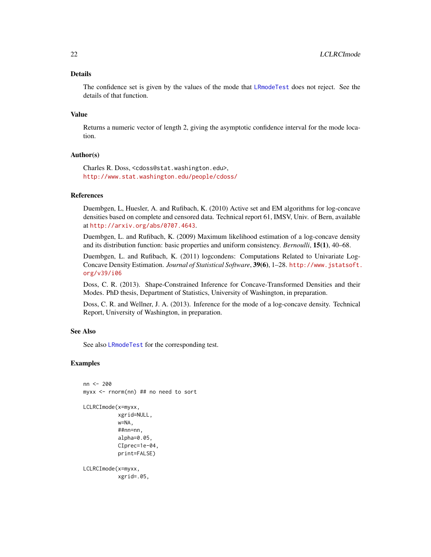# <span id="page-21-0"></span>Details

The confidence set is given by the values of the mode that [LRmodeTest](#page-27-1) does not reject. See the details of that function.

#### Value

Returns a numeric vector of length 2, giving the asymptotic confidence interval for the mode location.

# Author(s)

Charles R. Doss, <cdoss@stat.washington.edu>, <http://www.stat.washington.edu/people/cdoss/>

# References

Duembgen, L, Huesler, A. and Rufibach, K. (2010) Active set and EM algorithms for log-concave densities based on complete and censored data. Technical report 61, IMSV, Univ. of Bern, available at <http://arxiv.org/abs/0707.4643>.

Duembgen, L. and Rufibach, K. (2009) Maximum likelihood estimation of a log-concave density and its distribution function: basic properties and uniform consistency. *Bernoulli*, 15(1), 40–68.

Duembgen, L. and Rufibach, K. (2011) logcondens: Computations Related to Univariate Log-Concave Density Estimation. *Journal of Statistical Software*, 39(6), 1–28. [http://www.jstatsoft.](http://www.jstatsoft.org/v39/i06) [org/v39/i06](http://www.jstatsoft.org/v39/i06)

Doss, C. R. (2013). Shape-Constrained Inference for Concave-Transformed Densities and their Modes. PhD thesis, Department of Statistics, University of Washington, in preparation.

Doss, C. R. and Wellner, J. A. (2013). Inference for the mode of a log-concave density. Technical Report, University of Washington, in preparation.

#### See Also

See also [LRmodeTest](#page-27-1) for the corresponding test.

# Examples

```
nn <- 200
myxx <- rnorm(nn) ## no need to sort
LCLRCImode(x=myxx,
           xgrid=NULL,
           w=NA,
           ##nn=nn,
           alpha=0.05,
           CIprec=1e-04,
           print=FALSE)
```
LCLRCImode(x=myxx, xgrid=.05,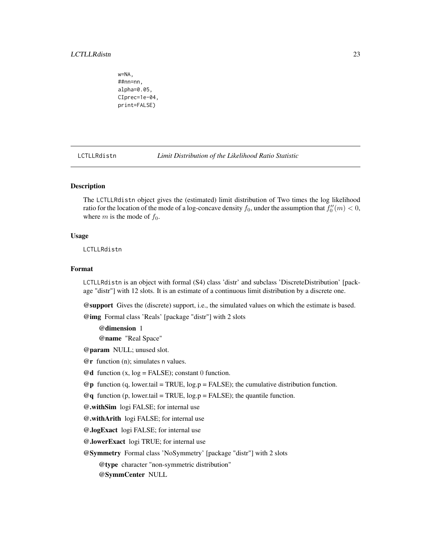<span id="page-22-0"></span>w=NA, ##nn=nn, alpha=0.05, CIprec=1e-04, print=FALSE)

<span id="page-22-1"></span>LCTLLRdistn *Limit Distribution of the Likelihood Ratio Statistic*

# Description

The LCTLLRdistn object gives the (estimated) limit distribution of Two times the log likelihood ratio for the location of the mode of a log-concave density  $f_0$ , under the assumption that  $f_0''(m) < 0$ , where  $m$  is the mode of  $f_0$ .

#### Usage

LCTLLRdistn

#### Format

LCTLLRdistn is an object with formal (S4) class 'distr' and subclass 'DiscreteDistribution' [package "distr"] with 12 slots. It is an estimate of a continuous limit distribution by a discrete one.

@support Gives the (discrete) support, i.e., the simulated values on which the estimate is based.

@img Formal class 'Reals' [package "distr"] with 2 slots

@dimension 1

@name "Real Space"

- @param NULL; unused slot.
- @r function (n); simulates n values.
- $\mathcal{Q}$ **d** function (x,  $log =$  FALSE); constant 0 function.
- $\mathcal{Q}_{\mathbf{p}}$  function (q, lower.tail = TRUE, log.p = FALSE); the cumulative distribution function.

 $@q$  function (p, lower.tail = TRUE, log.p = FALSE); the quantile function.

@.withSim logi FALSE; for internal use

@.withArith logi FALSE; for internal use

@.logExact logi FALSE; for internal use

@.lowerExact logi TRUE; for internal use

@Symmetry Formal class 'NoSymmetry' [package "distr"] with 2 slots

@type character "non-symmetric distribution"

@SymmCenter NULL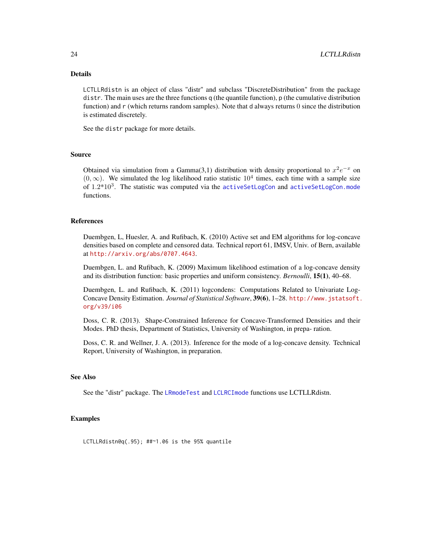# <span id="page-23-0"></span>Details

LCTLLRdistn is an object of class "distr" and subclass "DiscreteDistribution" from the package distr. The main uses are the three functions q (the quantile function), p (the cumulative distribution function) and r (which returns random samples). Note that d always returns 0 since the distribution is estimated discretely.

See the distr package for more details.

# Source

Obtained via simulation from a Gamma(3,1) distribution with density proportional to  $x^2e^{-x}$  on  $(0, \infty)$ . We simulated the log likelihood ratio statistic 10<sup>4</sup> times, each time with a sample size of  $1.2*10<sup>3</sup>$ . The statistic was computed via the [activeSetLogCon](#page-3-1) and [activeSetLogCon.mode](#page-6-1) functions.

# References

Duembgen, L, Huesler, A. and Rufibach, K. (2010) Active set and EM algorithms for log-concave densities based on complete and censored data. Technical report 61, IMSV, Univ. of Bern, available at <http://arxiv.org/abs/0707.4643>.

Duembgen, L. and Rufibach, K. (2009) Maximum likelihood estimation of a log-concave density and its distribution function: basic properties and uniform consistency. *Bernoulli*, 15(1), 40–68.

Duembgen, L. and Rufibach, K. (2011) logcondens: Computations Related to Univariate Log-Concave Density Estimation. *Journal of Statistical Software*, 39(6), 1–28. [http://www.jstatsoft.](http://www.jstatsoft.org/v39/i06) [org/v39/i06](http://www.jstatsoft.org/v39/i06)

Doss, C. R. (2013). Shape-Constrained Inference for Concave-Transformed Densities and their Modes. PhD thesis, Department of Statistics, University of Washington, in prepa- ration.

Doss, C. R. and Wellner, J. A. (2013). Inference for the mode of a log-concave density. Technical Report, University of Washington, in preparation.

# See Also

See the "distr" package. The [LRmodeTest](#page-27-1) and [LCLRCImode](#page-20-1) functions use LCTLLRdistn.

# Examples

LCTLLRdistn@q(.95); ##~1.06 is the 95% quantile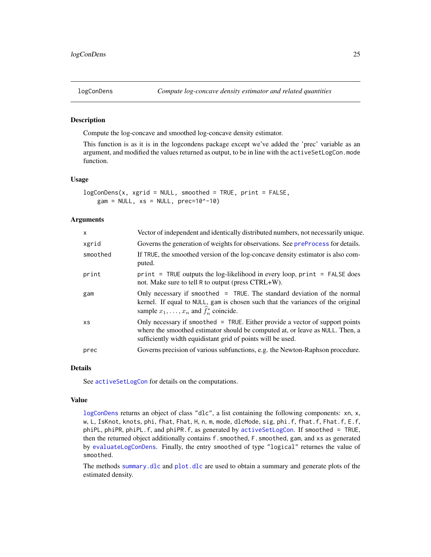<span id="page-24-1"></span><span id="page-24-0"></span>

# Description

Compute the log-concave and smoothed log-concave density estimator.

This function is as it is in the logcondens package except we've added the 'prec' variable as an argument, and modified the values returned as output, to be in line with the activeSetLogCon.mode function.

#### Usage

```
logConDens(x, xgrid = NULL, smoothed = TRUE, print = FALSE,
    gam = NULL, xs = NULL, prec=10^{\circ}-10)
```
# Arguments

| $\mathsf{x}$ | Vector of independent and identically distributed numbers, not necessarily unique.                                                                                                                                             |
|--------------|--------------------------------------------------------------------------------------------------------------------------------------------------------------------------------------------------------------------------------|
| xgrid        | Governs the generation of weights for observations. See preProcess for details.                                                                                                                                                |
| smoothed     | If TRUE, the smoothed version of the log-concave density estimator is also com-<br>puted.                                                                                                                                      |
| print        | $print = TRUE$ outputs the log-likelihood in every loop, $print = FALSE$ does<br>not. Make sure to tell R to output (press CTRL+W).                                                                                            |
| gam          | Only necessary if smoothed = TRUE. The standard deviation of the normal<br>kernel. If equal to NULL, gam is chosen such that the variances of the original<br>sample $x_1, \ldots, x_n$ and $f_n^*$ coincide.                  |
| XS           | Only necessary if smoothed $=$ TRUE. Either provide a vector of support points<br>where the smoothed estimator should be computed at, or leave as NULL. Then, a<br>sufficiently width equidistant grid of points will be used. |
| prec         | Governs precision of various subfunctions, e.g. the Newton-Raphson procedure.                                                                                                                                                  |

# Details

See [activeSetLogCon](#page-3-1) for details on the computations.

#### Value

[logConDens](#page-24-1) returns an object of class "dlc", a list containing the following components: xn, x, w, L, IsKnot, knots, phi, fhat, Fhat, H, n, m, mode, dlcMode, sig, phi.f, fhat.f, Fhat.f, E.f, phiPL, phiPR, phiPL.f, and phiPR.f, as generated by [activeSetLogCon](#page-3-1). If smoothed = TRUE, then the returned object additionally contains f.smoothed, F.smoothed, gam, and xs as generated by [evaluateLogConDens](#page-0-0). Finally, the entry smoothed of type "logical" returnes the value of smoothed.

The methods [summary.dlc](#page-0-0) and [plot.dlc](#page-0-0) are used to obtain a summary and generate plots of the estimated density.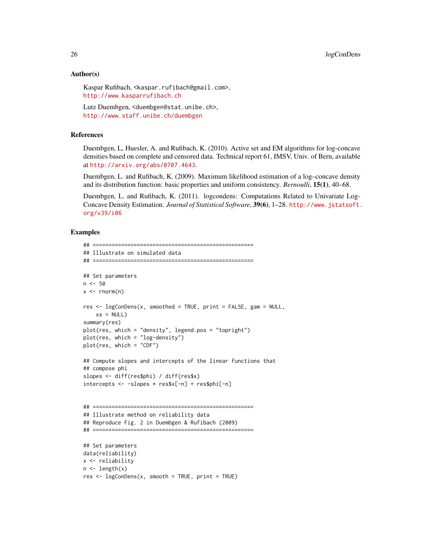# Author(s)

Kaspar Rufibach, <kaspar.rufibach@gmail.com>, <http://www.kasparrufibach.ch>

Lutz Duembgen, <duembgen@stat.unibe.ch>, <http://www.staff.unibe.ch/duembgen>

# References

Duembgen, L, Huesler, A. and Rufibach, K. (2010). Active set and EM algorithms for log-concave densities based on complete and censored data. Technical report 61, IMSV, Univ. of Bern, available at <http://arxiv.org/abs/0707.4643>.

Duembgen, L. and Rufibach, K. (2009). Maximum likelihood estimation of a log–concave density and its distribution function: basic properties and uniform consistency. *Bernoulli*, 15(1), 40–68.

Duembgen, L. and Rufibach, K. (2011). logcondens: Computations Related to Univariate Log-Concave Density Estimation. *Journal of Statistical Software*, 39(6), 1–28. [http://www.jstatsoft.](http://www.jstatsoft.org/v39/i06) [org/v39/i06](http://www.jstatsoft.org/v39/i06)

```
## ===================================================
## Illustrate on simulated data
## ===================================================
## Set parameters
n < -50x \leq -rnorm(n)res <- logConDens(x, smoothed = TRUE, print = FALSE, gam = NULL,
   xs = NULL)summary(res)
plot(res, which = "density", legend.pos = "topright")
plot(res, which = "log-density")
plot(res, which = "CDF")
## Compute slopes and intercepts of the linear functions that
## compose phi
slopes <- diff(res$phi) / diff(res$x)
intercepts <- -slopes * res$x[-n] + res$phi[-n]
## ===================================================
## Illustrate method on reliability data
## Reproduce Fig. 2 in Duembgen & Rufibach (2009)
## ===================================================
## Set parameters
data(reliability)
x <- reliability
n \leftarrow length(x)res \leq logConDens(x, smooth = TRUE, print = TRUE)
```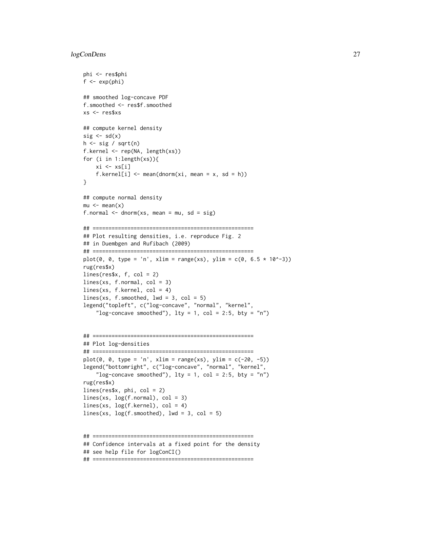```
phi <- res$phi
f \leftarrow \exp(\pi h i)## smoothed log-concave PDF
f.smoothed <- res$f.smoothed
xs <- res$xs
## compute kernel density
sig \leftarrow sd(x)h \leftarrow sig / sqrt(n)f.kernel <- rep(NA, length(xs))
for (i in 1:length(xs)){
    xi \leftarrow xs[i]f.kernel[i] \leq mean(dnorm(xi, mean = x, sd = h))
}
## compute normal density
mu < - mean(x)f.normal \leq dnorm(xs, mean = mu, sd = sig)
## ===================================================
## Plot resulting densities, i.e. reproduce Fig. 2
## in Duembgen and Rufibach (2009)
## ===================================================
plot(0, 0, type = 'n', xlim = range(xs), ylim = c(0, 6.5 * 10^{x}-3))rug(res$x)
lines(res$x, f, col = 2)lines(xs, f.normal, col = 3)lines(xs, f.kernel, col = 4)
lines(xs, f.smoothed, lwd = 3, col = 5)
legend("topleft", c("log-concave", "normal", "kernel",
    "log-concave smoothed"), lty = 1, col = 2:5, bty = "n")
## ===================================================
## Plot log-densities
## ===================================================
plot(0, 0, type = 'n', xlim = range(xs), ylim = c(-20, -5))legend("bottomright", c("log-concave", "normal", "kernel",
    "log-concave smoothed"), lty = 1, col = 2:5, bty = "n")
rug(res$x)
lines(res$x, phi, col = 2)
lines(xs, log(f.normal), col = 3)
lines(xs, log(f.kernel), col = 4)
lines(xs, log(f.smoothed), lwd = 3, col = 5)
## ===================================================
```

```
## Confidence intervals at a fixed point for the density
```

```
## see help file for logConCI()
```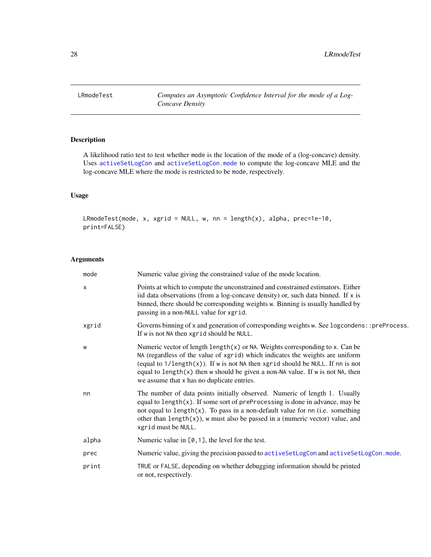<span id="page-27-1"></span><span id="page-27-0"></span>LRmodeTest *Computes an Asymptotic Confidence Interval for the mode of a Log-Concave Density*

# Description

A likelihood ratio test to test whether mode is the location of the mode of a (log-concave) density. Uses [activeSetLogCon](#page-3-1) and [activeSetLogCon.mode](#page-6-1) to compute the log-concave MLE and the log-concave MLE where the mode is restricted to be mode, respectively.

# Usage

LRmodeTest(mode, x, xgrid = NULL, w, nn = length(x), alpha, prec=1e-10, print=FALSE)

# Arguments

| mode  | Numeric value giving the constrained value of the mode location.                                                                                                                                                                                                                                                                                                                             |
|-------|----------------------------------------------------------------------------------------------------------------------------------------------------------------------------------------------------------------------------------------------------------------------------------------------------------------------------------------------------------------------------------------------|
| X     | Points at which to compute the unconstrained and constrained estimators. Either<br>iid data observations (from a log-concave density) or, such data binned. If $x$ is<br>binned, there should be corresponding weights w. Binning is usually handled by<br>passing in a non-NULL value for xgrid.                                                                                            |
| xgrid | Governs binning of x and generation of corresponding weights w. See logcondens:: preProcess.<br>If w is not NA then xgrid should be NULL.                                                                                                                                                                                                                                                    |
| W     | Numeric vector of length length(x) or NA. Weights corresponding to x. Can be<br>NA (regardless of the value of xgrid) which indicates the weights are uniform<br>(equal to $1/\text{length}(x)$ ). If w is not NA then xgrid should be NULL. If nn is not<br>equal to length $(x)$ then w should be given a non-NA value. If w is not NA, then<br>we assume that x has no duplicate entries. |
| nn    | The number of data points initially observed. Numeric of length 1. Usually<br>equal to $length(x)$ . If some sort of preProcessing is done in advance, may be<br>not equal to length $(x)$ . To pass in a non-default value for nn (i.e. something<br>other than $length(x)$ , w must also be passed in a (numeric vector) value, and<br>xgrid must be NULL.                                 |
| alpha | Numeric value in $[0, 1]$ , the level for the test.                                                                                                                                                                                                                                                                                                                                          |
| prec  | Numeric value, giving the precision passed to activeSetLogCon and activeSetLogCon.mode.                                                                                                                                                                                                                                                                                                      |
| print | TRUE or FALSE, depending on whether debugging information should be printed<br>or not, respectively.                                                                                                                                                                                                                                                                                         |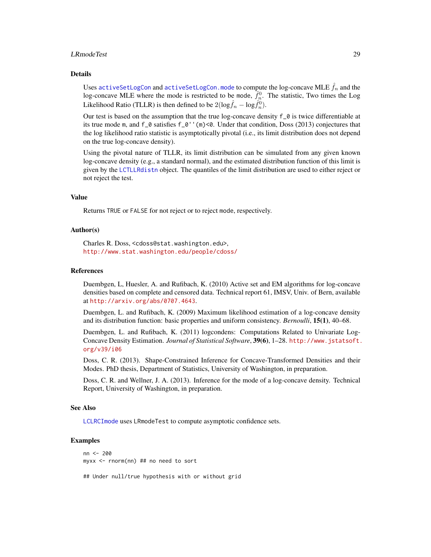#### <span id="page-28-0"></span>LRmodeTest 29

#### Details

Uses [activeSetLogCon](#page-3-1) and [activeSetLogCon.mode](#page-6-1) to compute the log-concave MLE  $f_n$  and the log-concave MLE where the mode is restricted to be mode,  $\hat{f}_n^0$ . The statistic, Two times the Log Likelihood Ratio (TLLR) is then defined to be  $2(\log \hat{f}_n - \log \hat{f}_n^0)$ .

Our test is based on the assumption that the true log-concave density f\_0 is twice differentiable at its true mode m, and f\_0 satisfies f\_0''(m)<0. Under that condition, Doss (2013) conjectures that the log likelihood ratio statistic is asymptotically pivotal (i.e., its limit distribution does not depend on the true log-concave density).

Using the pivotal nature of TLLR, its limit distribution can be simulated from any given known log-concave density (e.g., a standard normal), and the estimated distribution function of this limit is given by the [LCTLLRdistn](#page-22-1) object. The quantiles of the limit distribution are used to either reject or not reject the test.

# Value

Returns TRUE or FALSE for not reject or to reject mode, respectively.

#### Author(s)

Charles R. Doss, <cdoss@stat.washington.edu>, <http://www.stat.washington.edu/people/cdoss/>

#### References

Duembgen, L, Huesler, A. and Rufibach, K. (2010) Active set and EM algorithms for log-concave densities based on complete and censored data. Technical report 61, IMSV, Univ. of Bern, available at <http://arxiv.org/abs/0707.4643>.

Duembgen, L. and Rufibach, K. (2009) Maximum likelihood estimation of a log-concave density and its distribution function: basic properties and uniform consistency. *Bernoulli*, 15(1), 40–68.

Duembgen, L. and Rufibach, K. (2011) logcondens: Computations Related to Univariate Log-Concave Density Estimation. *Journal of Statistical Software*, 39(6), 1–28. [http://www.jstatsoft.](http://www.jstatsoft.org/v39/i06) [org/v39/i06](http://www.jstatsoft.org/v39/i06)

Doss, C. R. (2013). Shape-Constrained Inference for Concave-Transformed Densities and their Modes. PhD thesis, Department of Statistics, University of Washington, in preparation.

Doss, C. R. and Wellner, J. A. (2013). Inference for the mode of a log-concave density. Technical Report, University of Washington, in preparation.

#### See Also

[LCLRCImode](#page-20-1) uses LRmodeTest to compute asymptotic confidence sets.

# Examples

```
nn <- 200
myxx <- rnorm(nn) ## no need to sort
```
## Under null/true hypothesis with or without grid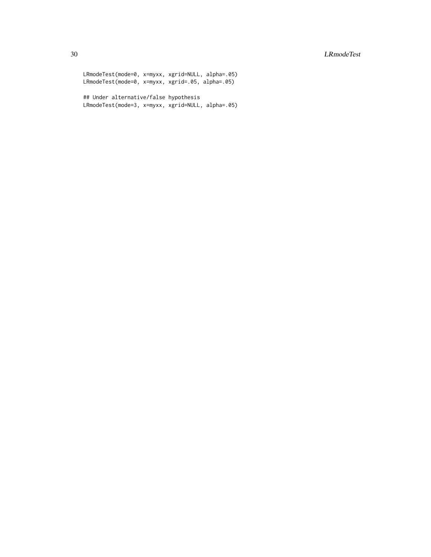LRmodeTest(mode=0, x=myxx, xgrid=NULL, alpha=.05) LRmodeTest(mode=0, x=myxx, xgrid=.05, alpha=.05)

## Under alternative/false hypothesis LRmodeTest(mode=3, x=myxx, xgrid=NULL, alpha=.05)